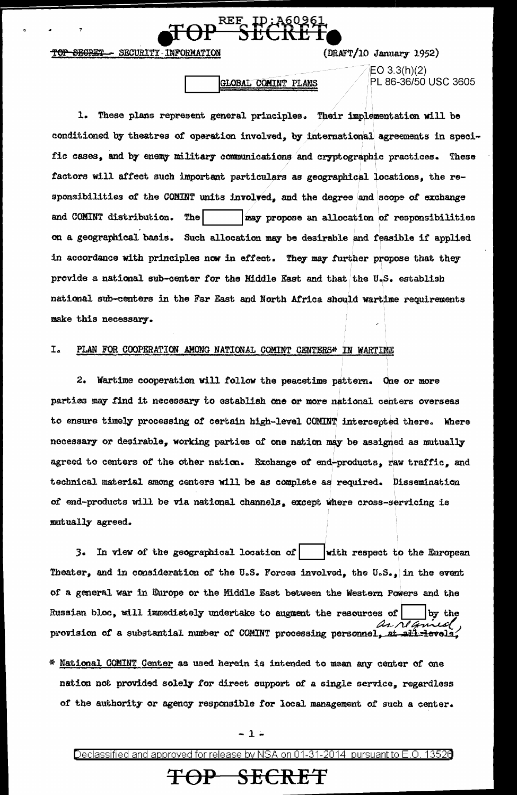SECURITY - INFORM **SECRET** 

## $(DRAFT/10$  January 1952)

## GLOBAL COMINT PLANS

 $EO 3.3(h)(2)$ PL 86-36/50 USC 3605

1. These plans represent general principles. Their implementation will be conditioned by theatres of operation involved, by international agreements in specific cases, and by enemy military communications and cryptographic practices. These factors will affect such important particulars as geographical locations, the responsibilities of the COMINT units involved, and the degree and scope of exchange The and COMINT distribution. may propose an allocation of responsibilities on a geographical basis. Such allocation may be desirable and feasible if applied in accordance with principles now in effect. They may further propose that they provide a national sub-center for the Middle East and that the U.S. establish national sub-centers in the Far East and North Africa should wartime requirements make this necessary.

### I. PLAN FOR COOPERATION AMONG NATIONAL COMINT CENTERS\* IN WARTIME

2. Wartime cooperation will follow the peacetime pattern. One or more parties may find it necessary to establish one or more national centers overseas to ensure timely processing of certain high-level COMINT intercepted there. Where necessary or desirable, working parties of one nation may be assigned as mutually agreed to centers of the other nation. Exchange of end-products, raw traffic, and technical material among centers will be as complete as required. Dissemination of end-products will be via national channels, except where cross-servicing is mutually agreed.

3. In view of the geographical location of with respect to the European Theater, and in consideration of the U.S. Forces involved, the U.S., in the event of a general war in Europe or the Middle East between the Western Powers and the Russian bloc, will immediately undertake to augment the resources of by the provision of a substantial number of COMINT processing personnel, at all levels

\* National COMINT Center as used herein is intended to mean any center of one nation not provided solely for direct support of a single service, regardless of the authority or agency responsible for local management of such a center.

- 1 -

Declassified and approved for release by NSA on 01-31-2014 pursuant to E.O. 13520

# <del>TOP SECRET</del>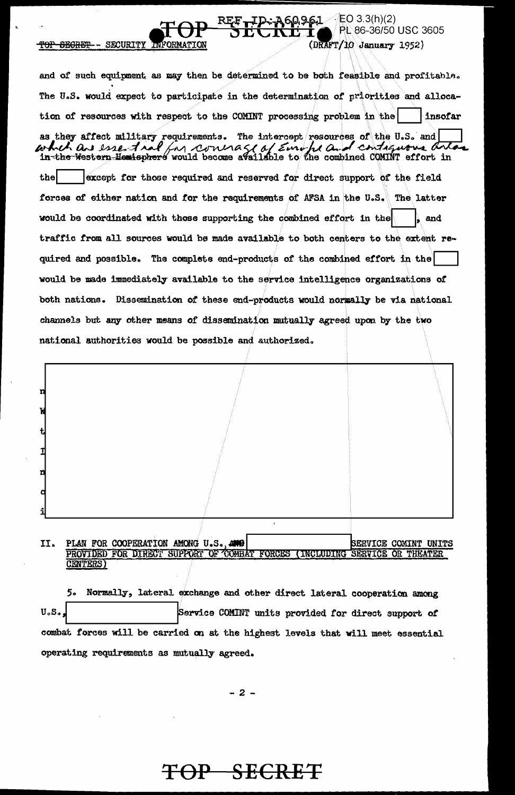and of such equipment as may then be determined to be both feasible and profitable. The U.S. would expect to participate in the determination of priorities and allocation of resources with respect to the COMINT processing problem in the insofar as they affect military requirements. The intercept resources of the U.S. and which are essential (in concrete of Europe and contiguous arto which are essent ral the except for those required and reserved for direct support of the field forces of either nation and for the requirements of AFSA in the U.S. The latter would be coordinated with those supporting the combined effort in the and traffic from all sources would be made available to both centers to the extent required and possible. The complete end-products of the combined effort in the would be made immediately available to the service intelligence organizations of both nations. Dissemination of these end-products would normally be via national channels but any other means of dissemination mutually agreed upon by the two national authorities would be possible and authorized.

EO 3.3(h)(2)

(DRAFT/10 January 1952)

PL 86-36/50 USC 3605

60961.



### II. PLAN FOR COOPERATION AMONG U.S., AND SERVICE COMINT UNITS PROVIDED FOR DIRECT SUPPORT OF COMBAT THEATER **FORCES** SERVICE OR ( INCLUDING CENTERS)

5. Normally, lateral exchange and other direct lateral cooperation among Service COMINT units provided for direct support of  $U_oS_o$ combat forces will be carried on at the highest levels that will meet essential operating requirements as mutually agreed.

 $-2-$ 

# TOP SECRET